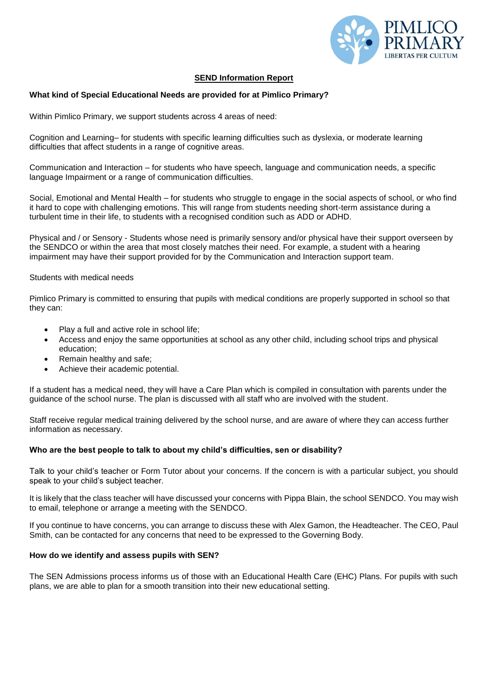

# **SEND Information Report**

# **What kind of Special Educational Needs are provided for at Pimlico Primary?**

Within Pimlico Primary, we support students across 4 areas of need:

Cognition and Learning– for students with specific learning difficulties such as dyslexia, or moderate learning difficulties that affect students in a range of cognitive areas.

Communication and Interaction – for students who have speech, language and communication needs, a specific language Impairment or a range of communication difficulties.

Social, Emotional and Mental Health – for students who struggle to engage in the social aspects of school, or who find it hard to cope with challenging emotions. This will range from students needing short-term assistance during a turbulent time in their life, to students with a recognised condition such as ADD or ADHD.

Physical and / or Sensory - Students whose need is primarily sensory and/or physical have their support overseen by the SENDCO or within the area that most closely matches their need. For example, a student with a hearing impairment may have their support provided for by the Communication and Interaction support team.

# Students with medical needs

Pimlico Primary is committed to ensuring that pupils with medical conditions are properly supported in school so that they can:

- Play a full and active role in school life;
- Access and enjoy the same opportunities at school as any other child, including school trips and physical education;
- Remain healthy and safe;
- Achieve their academic potential.

If a student has a medical need, they will have a Care Plan which is compiled in consultation with parents under the guidance of the school nurse. The plan is discussed with all staff who are involved with the student.

Staff receive regular medical training delivered by the school nurse, and are aware of where they can access further information as necessary.

### **Who are the best people to talk to about my child's difficulties, sen or disability?**

Talk to your child's teacher or Form Tutor about your concerns. If the concern is with a particular subject, you should speak to your child's subject teacher.

It is likely that the class teacher will have discussed your concerns with Pippa Blain, the school SENDCO. You may wish to email, telephone or arrange a meeting with the SENDCO.

If you continue to have concerns, you can arrange to discuss these with Alex Gamon, the Headteacher. The CEO, Paul Smith, can be contacted for any concerns that need to be expressed to the Governing Body.

### **How do we identify and assess pupils with SEN?**

The SEN Admissions process informs us of those with an Educational Health Care (EHC) Plans. For pupils with such plans, we are able to plan for a smooth transition into their new educational setting.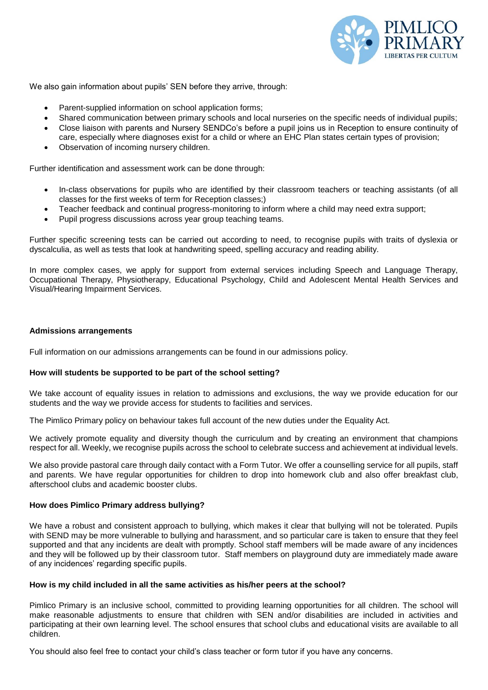

We also gain information about pupils' SEN before they arrive, through:

- Parent-supplied information on school application forms;
- Shared communication between primary schools and local nurseries on the specific needs of individual pupils;
- Close liaison with parents and Nursery SENDCo's before a pupil joins us in Reception to ensure continuity of care, especially where diagnoses exist for a child or where an EHC Plan states certain types of provision;
- Observation of incoming nursery children.

Further identification and assessment work can be done through:

- In-class observations for pupils who are identified by their classroom teachers or teaching assistants (of all classes for the first weeks of term for Reception classes;)
- Teacher feedback and continual progress-monitoring to inform where a child may need extra support;
- Pupil progress discussions across year group teaching teams.

Further specific screening tests can be carried out according to need, to recognise pupils with traits of dyslexia or dyscalculia, as well as tests that look at handwriting speed, spelling accuracy and reading ability.

In more complex cases, we apply for support from external services including Speech and Language Therapy, Occupational Therapy, Physiotherapy, Educational Psychology, Child and Adolescent Mental Health Services and Visual/Hearing Impairment Services.

#### **Admissions arrangements**

Full information on our admissions arrangements can be found in our admissions policy.

#### **How will students be supported to be part of the school setting?**

We take account of equality issues in relation to admissions and exclusions, the way we provide education for our students and the way we provide access for students to facilities and services.

The Pimlico Primary policy on behaviour takes full account of the new duties under the Equality Act.

We actively promote equality and diversity though the curriculum and by creating an environment that champions respect for all. Weekly, we recognise pupils across the school to celebrate success and achievement at individual levels.

We also provide pastoral care through daily contact with a Form Tutor. We offer a counselling service for all pupils, staff and parents. We have regular opportunities for children to drop into homework club and also offer breakfast club, afterschool clubs and academic booster clubs.

#### **How does Pimlico Primary address bullying?**

We have a robust and consistent approach to bullying, which makes it clear that bullying will not be tolerated. Pupils with SEND may be more vulnerable to bullying and harassment, and so particular care is taken to ensure that they feel supported and that any incidents are dealt with promptly. School staff members will be made aware of any incidences and they will be followed up by their classroom tutor. Staff members on playground duty are immediately made aware of any incidences' regarding specific pupils.

#### **How is my child included in all the same activities as his/her peers at the school?**

Pimlico Primary is an inclusive school, committed to providing learning opportunities for all children. The school will make reasonable adjustments to ensure that children with SEN and/or disabilities are included in activities and participating at their own learning level. The school ensures that school clubs and educational visits are available to all children.

You should also feel free to contact your child's class teacher or form tutor if you have any concerns.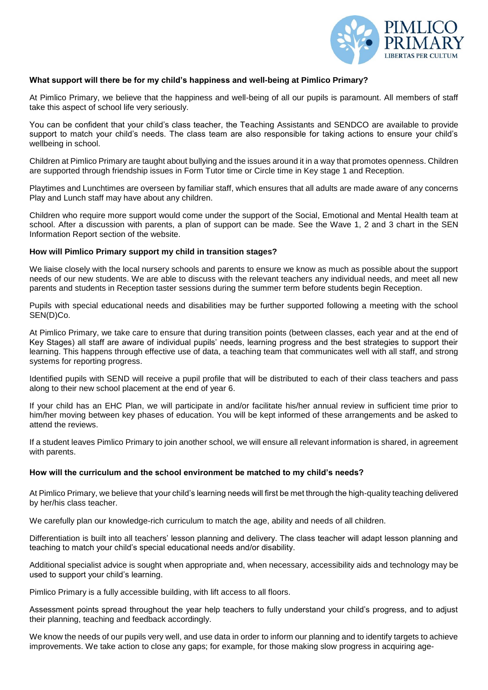

# **What support will there be for my child's happiness and well-being at Pimlico Primary?**

At Pimlico Primary, we believe that the happiness and well-being of all our pupils is paramount. All members of staff take this aspect of school life very seriously.

You can be confident that your child's class teacher, the Teaching Assistants and SENDCO are available to provide support to match your child's needs. The class team are also responsible for taking actions to ensure your child's wellbeing in school.

Children at Pimlico Primary are taught about bullying and the issues around it in a way that promotes openness. Children are supported through friendship issues in Form Tutor time or Circle time in Key stage 1 and Reception.

Playtimes and Lunchtimes are overseen by familiar staff, which ensures that all adults are made aware of any concerns Play and Lunch staff may have about any children.

Children who require more support would come under the support of the Social, Emotional and Mental Health team at school. After a discussion with parents, a plan of support can be made. See the Wave 1, 2 and 3 chart in the SEN Information Report section of the website.

### **How will Pimlico Primary support my child in transition stages?**

We liaise closely with the local nursery schools and parents to ensure we know as much as possible about the support needs of our new students. We are able to discuss with the relevant teachers any individual needs, and meet all new parents and students in Reception taster sessions during the summer term before students begin Reception.

Pupils with special educational needs and disabilities may be further supported following a meeting with the school SEN(D)Co.

At Pimlico Primary, we take care to ensure that during transition points (between classes, each year and at the end of Key Stages) all staff are aware of individual pupils' needs, learning progress and the best strategies to support their learning. This happens through effective use of data, a teaching team that communicates well with all staff, and strong systems for reporting progress.

Identified pupils with SEND will receive a pupil profile that will be distributed to each of their class teachers and pass along to their new school placement at the end of year 6.

If your child has an EHC Plan, we will participate in and/or facilitate his/her annual review in sufficient time prior to him/her moving between key phases of education. You will be kept informed of these arrangements and be asked to attend the reviews.

If a student leaves Pimlico Primary to join another school, we will ensure all relevant information is shared, in agreement with parents.

### **How will the curriculum and the school environment be matched to my child's needs?**

At Pimlico Primary, we believe that your child's learning needs will first be met through the high-quality teaching delivered by her/his class teacher.

We carefully plan our knowledge-rich curriculum to match the age, ability and needs of all children.

Differentiation is built into all teachers' lesson planning and delivery. The class teacher will adapt lesson planning and teaching to match your child's special educational needs and/or disability.

Additional specialist advice is sought when appropriate and, when necessary, accessibility aids and technology may be used to support your child's learning.

Pimlico Primary is a fully accessible building, with lift access to all floors.

Assessment points spread throughout the year help teachers to fully understand your child's progress, and to adjust their planning, teaching and feedback accordingly.

We know the needs of our pupils very well, and use data in order to inform our planning and to identify targets to achieve improvements. We take action to close any gaps; for example, for those making slow progress in acquiring age-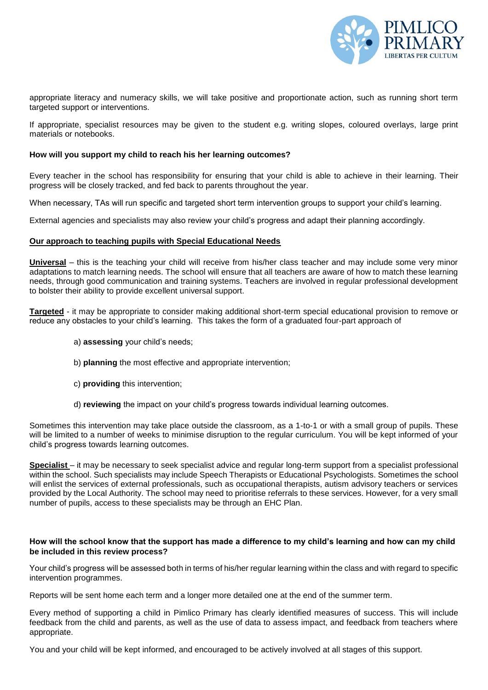

appropriate literacy and numeracy skills, we will take positive and proportionate action, such as running short term targeted support or interventions.

If appropriate, specialist resources may be given to the student e.g. writing slopes, coloured overlays, large print materials or notebooks.

## **How will you support my child to reach his her learning outcomes?**

Every teacher in the school has responsibility for ensuring that your child is able to achieve in their learning. Their progress will be closely tracked, and fed back to parents throughout the year.

When necessary, TAs will run specific and targeted short term intervention groups to support your child's learning.

External agencies and specialists may also review your child's progress and adapt their planning accordingly.

# **Our approach to teaching pupils with Special Educational Needs**

**Universal** – this is the teaching your child will receive from his/her class teacher and may include some very minor adaptations to match learning needs. The school will ensure that all teachers are aware of how to match these learning needs, through good communication and training systems. Teachers are involved in regular professional development to bolster their ability to provide excellent universal support.

**Targeted** - it may be appropriate to consider making additional short-term special educational provision to remove or reduce any obstacles to your child's learning. This takes the form of a graduated four-part approach of

- a) **assessing** your child's needs;
- b) **planning** the most effective and appropriate intervention;
- c) **providing** this intervention;
- d) **reviewing** the impact on your child's progress towards individual learning outcomes.

Sometimes this intervention may take place outside the classroom, as a 1-to-1 or with a small group of pupils. These will be limited to a number of weeks to minimise disruption to the regular curriculum. You will be kept informed of your child's progress towards learning outcomes.

**Specialist** – it may be necessary to seek specialist advice and regular long-term support from a specialist professional within the school. Such specialists may include Speech Therapists or Educational Psychologists. Sometimes the school will enlist the services of external professionals, such as occupational therapists, autism advisory teachers or services provided by the Local Authority. The school may need to prioritise referrals to these services. However, for a very small number of pupils, access to these specialists may be through an EHC Plan.

# **How will the school know that the support has made a difference to my child's learning and how can my child be included in this review process?**

Your child's progress will be assessed both in terms of his/her regular learning within the class and with regard to specific intervention programmes.

Reports will be sent home each term and a longer more detailed one at the end of the summer term.

Every method of supporting a child in Pimlico Primary has clearly identified measures of success. This will include feedback from the child and parents, as well as the use of data to assess impact, and feedback from teachers where appropriate.

You and your child will be kept informed, and encouraged to be actively involved at all stages of this support.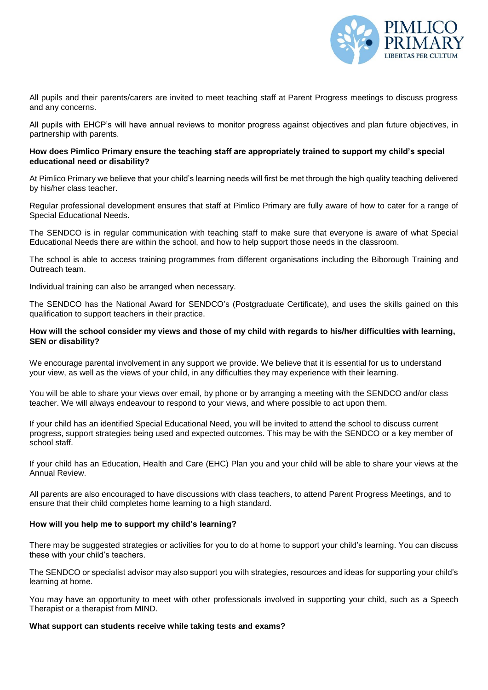

All pupils and their parents/carers are invited to meet teaching staff at Parent Progress meetings to discuss progress and any concerns.

All pupils with EHCP's will have annual reviews to monitor progress against objectives and plan future objectives, in partnership with parents.

# **How does Pimlico Primary ensure the teaching staff are appropriately trained to support my child's special educational need or disability?**

At Pimlico Primary we believe that your child's learning needs will first be met through the high quality teaching delivered by his/her class teacher.

Regular professional development ensures that staff at Pimlico Primary are fully aware of how to cater for a range of Special Educational Needs.

The SENDCO is in regular communication with teaching staff to make sure that everyone is aware of what Special Educational Needs there are within the school, and how to help support those needs in the classroom.

The school is able to access training programmes from different organisations including the Biborough Training and Outreach team.

Individual training can also be arranged when necessary.

The SENDCO has the National Award for SENDCO's (Postgraduate Certificate), and uses the skills gained on this qualification to support teachers in their practice.

# **How will the school consider my views and those of my child with regards to his/her difficulties with learning, SEN or disability?**

We encourage parental involvement in any support we provide. We believe that it is essential for us to understand your view, as well as the views of your child, in any difficulties they may experience with their learning.

You will be able to share your views over email, by phone or by arranging a meeting with the SENDCO and/or class teacher. We will always endeavour to respond to your views, and where possible to act upon them.

If your child has an identified Special Educational Need, you will be invited to attend the school to discuss current progress, support strategies being used and expected outcomes. This may be with the SENDCO or a key member of school staff.

If your child has an Education, Health and Care (EHC) Plan you and your child will be able to share your views at the Annual Review.

All parents are also encouraged to have discussions with class teachers, to attend Parent Progress Meetings, and to ensure that their child completes home learning to a high standard.

# **How will you help me to support my child's learning?**

There may be suggested strategies or activities for you to do at home to support your child's learning. You can discuss these with your child's teachers.

The SENDCO or specialist advisor may also support you with strategies, resources and ideas for supporting your child's learning at home.

You may have an opportunity to meet with other professionals involved in supporting your child, such as a Speech Therapist or a therapist from MIND.

# **What support can students receive while taking tests and exams?**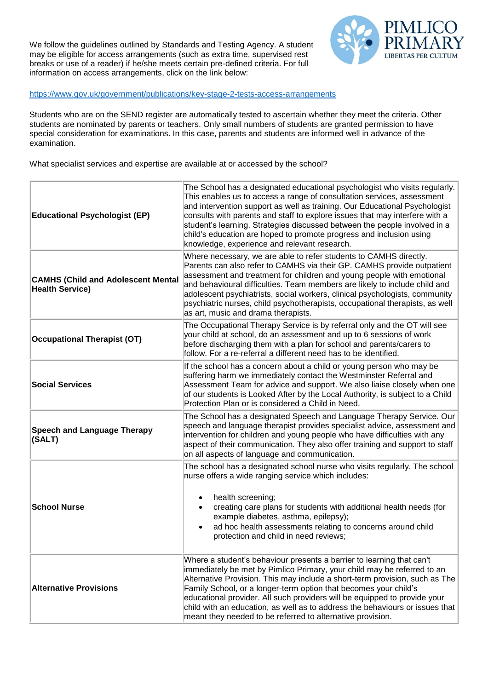We follow the guidelines outlined by Standards and Testing Agency. A student may be eligible for access arrangements (such as extra time, supervised rest breaks or use of a reader) if he/she meets certain pre-defined criteria. For full information on access arrangements, click on the link below:



# <https://www.gov.uk/government/publications/key-stage-2-tests-access-arrangements>

Students who are on the SEND register are automatically tested to ascertain whether they meet the criteria. Other students are nominated by parents or teachers. Only small numbers of students are granted permission to have special consideration for examinations. In this case, parents and students are informed well in advance of the examination.

What specialist services and expertise are available at or accessed by the school?

| <b>Educational Psychologist (EP)</b>                                | The School has a designated educational psychologist who visits regularly.<br>This enables us to access a range of consultation services, assessment<br>and intervention support as well as training. Our Educational Psychologist<br>consults with parents and staff to explore issues that may interfere with a<br>student's learning. Strategies discussed between the people involved in a<br>child's education are hoped to promote progress and inclusion using<br>knowledge, experience and relevant research.          |
|---------------------------------------------------------------------|--------------------------------------------------------------------------------------------------------------------------------------------------------------------------------------------------------------------------------------------------------------------------------------------------------------------------------------------------------------------------------------------------------------------------------------------------------------------------------------------------------------------------------|
| <b>CAMHS (Child and Adolescent Mental</b><br><b>Health Service)</b> | Where necessary, we are able to refer students to CAMHS directly.<br>Parents can also refer to CAMHS via their GP. CAMHS provide outpatient<br>assessment and treatment for children and young people with emotional<br>and behavioural difficulties. Team members are likely to include child and<br>adolescent psychiatrists, social workers, clinical psychologists, community<br>psychiatric nurses, child psychotherapists, occupational therapists, as well<br>as art, music and drama therapists.                       |
| <b>Occupational Therapist (OT)</b>                                  | The Occupational Therapy Service is by referral only and the OT will see<br>your child at school, do an assessment and up to 6 sessions of work<br>before discharging them with a plan for school and parents/carers to<br>follow. For a re-referral a different need has to be identified.                                                                                                                                                                                                                                    |
| <b>Social Services</b>                                              | If the school has a concern about a child or young person who may be<br>suffering harm we immediately contact the Westminster Referral and<br>Assessment Team for advice and support. We also liaise closely when one<br>of our students is Looked After by the Local Authority, is subject to a Child<br>Protection Plan or is considered a Child in Need.                                                                                                                                                                    |
| <b>Speech and Language Therapy</b><br>(SALT)                        | The School has a designated Speech and Language Therapy Service. Our<br>speech and language therapist provides specialist advice, assessment and<br>intervention for children and young people who have difficulties with any<br>aspect of their communication. They also offer training and support to staff<br>on all aspects of language and communication.                                                                                                                                                                 |
| <b>School Nurse</b>                                                 | The school has a designated school nurse who visits regularly. The school<br>nurse offers a wide ranging service which includes:<br>health screening;<br>creating care plans for students with additional health needs (for<br>example diabetes, asthma, epilepsy);<br>ad hoc health assessments relating to concerns around child<br>protection and child in need reviews;                                                                                                                                                    |
| <b>Alternative Provisions</b>                                       | Where a student's behaviour presents a barrier to learning that can't<br>immediately be met by Pimlico Primary, your child may be referred to an<br>Alternative Provision. This may include a short-term provision, such as The<br>Family School, or a longer-term option that becomes your child's<br>educational provider. All such providers will be equipped to provide your<br>child with an education, as well as to address the behaviours or issues that<br>meant they needed to be referred to alternative provision. |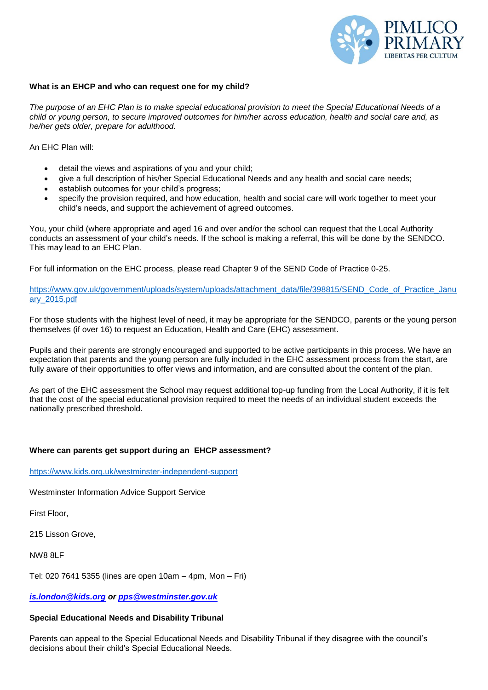

#### **What is an EHCP and who can request one for my child?**

*The purpose of an EHC Plan is to make special educational provision to meet the Special Educational Needs of a child or young person, to secure improved outcomes for him/her across education, health and social care and, as he/her gets older, prepare for adulthood.* 

An EHC Plan will:

- detail the views and aspirations of you and your child;
- give a full description of his/her Special Educational Needs and any health and social care needs;
- establish outcomes for your child's progress;
- specify the provision required, and how education, health and social care will work together to meet your child's needs, and support the achievement of agreed outcomes.

You, your child (where appropriate and aged 16 and over and/or the school can request that the Local Authority conducts an assessment of your child's needs. If the school is making a referral, this will be done by the SENDCO. This may lead to an EHC Plan.

For full information on the EHC process, please read Chapter 9 of the SEND Code of Practice 0-25.

[https://www.gov.uk/government/uploads/system/uploads/attachment\\_data/file/398815/SEND\\_Code\\_of\\_Practice\\_Janu](https://www.gov.uk/government/uploads/system/uploads/attachment_data/file/398815/SEND_Code_of_Practice_January_2015.pdf) [ary\\_2015.pdf](https://www.gov.uk/government/uploads/system/uploads/attachment_data/file/398815/SEND_Code_of_Practice_January_2015.pdf)

For those students with the highest level of need, it may be appropriate for the SENDCO, parents or the young person themselves (if over 16) to request an Education, Health and Care (EHC) assessment.

Pupils and their parents are strongly encouraged and supported to be active participants in this process. We have an expectation that parents and the young person are fully included in the EHC assessment process from the start, are fully aware of their opportunities to offer views and information, and are consulted about the content of the plan.

As part of the EHC assessment the School may request additional top-up funding from the Local Authority, if it is felt that the cost of the special educational provision required to meet the needs of an individual student exceeds the nationally prescribed threshold.

### **Where can parents get support during an EHCP assessment?**

<https://www.kids.org.uk/westminster-independent-support>

Westminster Information Advice Support Service

First Floor,

215 Lisson Grove,

NW8 8LF

Tel: 020 7641 5355 (lines are open 10am – 4pm, Mon – Fri)

*[is.london@kids.org](mailto:IS.London@kids.org) or [pps@westminster.gov.uk](mailto:pps@westminster.gov.uk)*

### **Special Educational Needs and Disability Tribunal**

Parents can appeal to the Special Educational Needs and Disability Tribunal if they disagree with the council's decisions about their child's Special Educational Needs.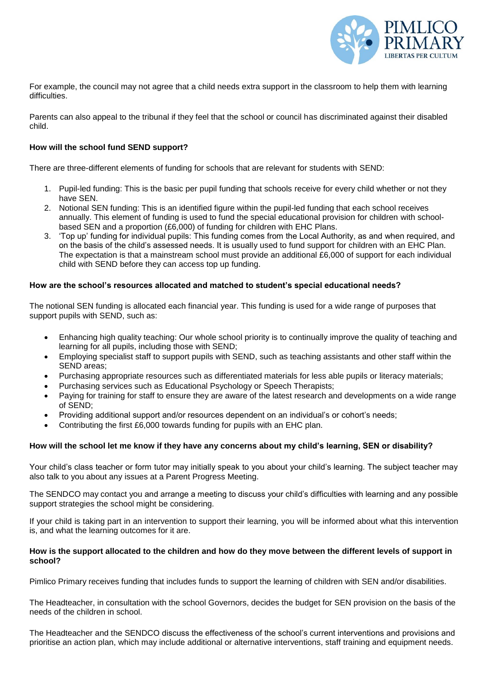

For example, the council may not agree that a child needs extra support in the classroom to help them with learning difficulties.

Parents can also appeal to the tribunal if they feel that the school or council has discriminated against their disabled child.

# **How will the school fund SEND support?**

There are three-different elements of funding for schools that are relevant for students with SEND:

- 1. Pupil-led funding: This is the basic per pupil funding that schools receive for every child whether or not they have SEN.
- 2. Notional SEN funding: This is an identified figure within the pupil-led funding that each school receives annually. This element of funding is used to fund the special educational provision for children with schoolbased SEN and a proportion (£6,000) of funding for children with EHC Plans.
- 3. 'Top up' funding for individual pupils: This funding comes from the Local Authority, as and when required, and on the basis of the child's assessed needs. It is usually used to fund support for children with an EHC Plan. The expectation is that a mainstream school must provide an additional £6,000 of support for each individual child with SEND before they can access top up funding.

# **How are the school's resources allocated and matched to student's special educational needs?**

The notional SEN funding is allocated each financial year. This funding is used for a wide range of purposes that support pupils with SEND, such as:

- Enhancing high quality teaching: Our whole school priority is to continually improve the quality of teaching and learning for all pupils, including those with SEND;
- Employing specialist staff to support pupils with SEND, such as teaching assistants and other staff within the SEND areas;
- Purchasing appropriate resources such as differentiated materials for less able pupils or literacy materials;
- Purchasing services such as Educational Psychology or Speech Therapists;
- Paying for training for staff to ensure they are aware of the latest research and developments on a wide range of SEND;
- Providing additional support and/or resources dependent on an individual's or cohort's needs;
- Contributing the first £6,000 towards funding for pupils with an EHC plan.

### **How will the school let me know if they have any concerns about my child's learning, SEN or disability?**

Your child's class teacher or form tutor may initially speak to you about your child's learning. The subject teacher may also talk to you about any issues at a Parent Progress Meeting.

The SENDCO may contact you and arrange a meeting to discuss your child's difficulties with learning and any possible support strategies the school might be considering.

If your child is taking part in an intervention to support their learning, you will be informed about what this intervention is, and what the learning outcomes for it are.

### **How is the support allocated to the children and how do they move between the different levels of support in school?**

Pimlico Primary receives funding that includes funds to support the learning of children with SEN and/or disabilities.

The Headteacher, in consultation with the school Governors, decides the budget for SEN provision on the basis of the needs of the children in school.

The Headteacher and the SENDCO discuss the effectiveness of the school's current interventions and provisions and prioritise an action plan, which may include additional or alternative interventions, staff training and equipment needs.